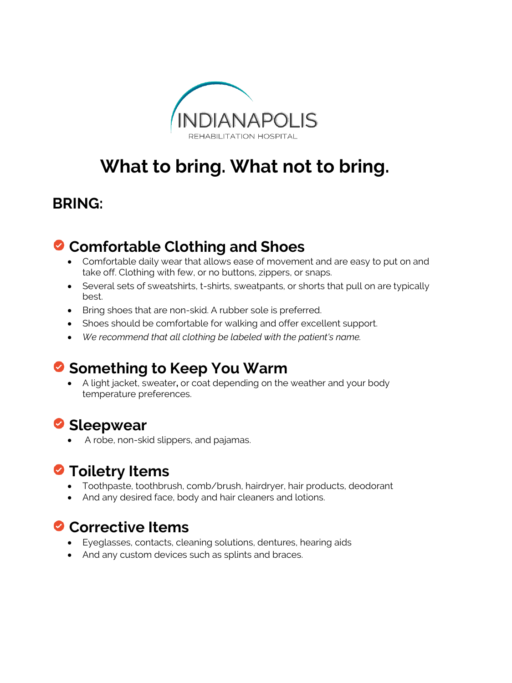

# **What to bring. What not to bring.**

#### **BRING:**

## **Comfortable Clothing and Shoes**

- Comfortable daily wear that allows ease of movement and are easy to put on and take off. Clothing with few, or no buttons, zippers, or snaps.
- Several sets of sweatshirts, t-shirts, sweatpants, or shorts that pull on are typically best.
- Bring shoes that are non-skid. A rubber sole is preferred.
- Shoes should be comfortable for walking and offer excellent support.
- *We recommend that all clothing be labeled with the patient's name.*

#### **Something to Keep You Warm**

• A light jacket, sweater**,** or coat depending on the weather and your body temperature preferences.

### **Sleepwear**

• A robe, non-skid slippers, and pajamas.

### **O** Toiletry Items

- Toothpaste, toothbrush, comb/brush, hairdryer, hair products, deodorant
- And any desired face, body and hair cleaners and lotions.

#### **Corrective Items**

- Eyeglasses, contacts, cleaning solutions, dentures, hearing aids
- And any custom devices such as splints and braces.